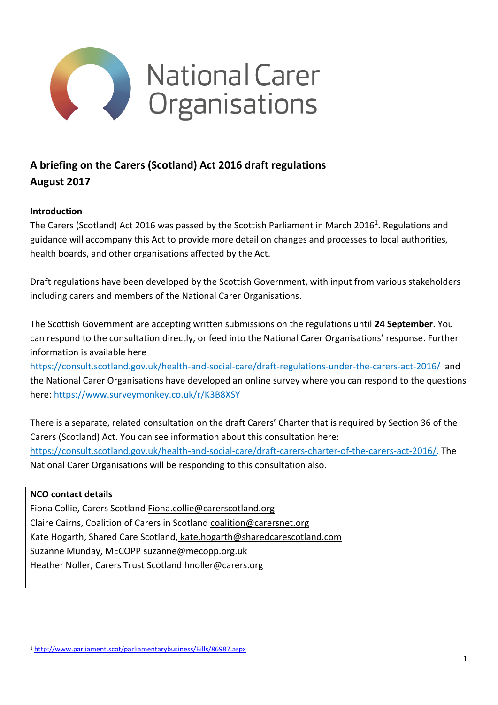

# **A briefing on the Carers (Scotland) Act 2016 draft regulations August 2017**

## **Introduction**

The Carers (Scotland) Act 2016 was passed by the Scottish Parliament in March 2016<sup>1</sup>. Regulations and guidance will accompany this Act to provide more detail on changes and processes to local authorities, health boards, and other organisations affected by the Act.

Draft regulations have been developed by the Scottish Government, with input from various stakeholders including carers and members of the National Carer Organisations.

The Scottish Government are accepting written submissions on the regulations until **24 September**. You can respond to the consultation directly, or feed into the National Carer Organisations' response. Further information is available here

<https://consult.scotland.gov.uk/health-and-social-care/draft-regulations-under-the-carers-act-2016/> and the National Carer Organisations have developed an online survey where you can respond to the questions here:<https://www.surveymonkey.co.uk/r/K3B8XSY>

There is a separate, related consultation on the draft Carers' Charter that is required by Section 36 of the Carers (Scotland) Act. You can see information about this consultation here: [https://consult.scotland.gov.uk/health-and-social-care/draft-carers-charter-of-the-carers-act-2016/.](https://consult.scotland.gov.uk/health-and-social-care/draft-carers-charter-of-the-carers-act-2016/) The National Carer Organisations will be responding to this consultation also.

#### **NCO contact details**

<u>.</u>

Fiona Collie, Carers Scotland [Fiona.collie@carerscotland.org](mailto:Fiona.collie@carerscotland.org) Claire Cairns, Coalition of Carers in Scotland [coalition@carersnet.org](mailto:coalition@carersnet.org) Kate Hogarth, Shared Care Scotland, kate.hogarth@sharedcarescotland.com Suzanne Munday, MECOPP [suzanne@mecopp.org.uk](mailto:suzanne@mecopp.org.uk) Heather Noller, Carers Trust Scotland [hnoller@carers.org](mailto:hnoller@carers.org)

<sup>1</sup> <http://www.parliament.scot/parliamentarybusiness/Bills/86987.aspx>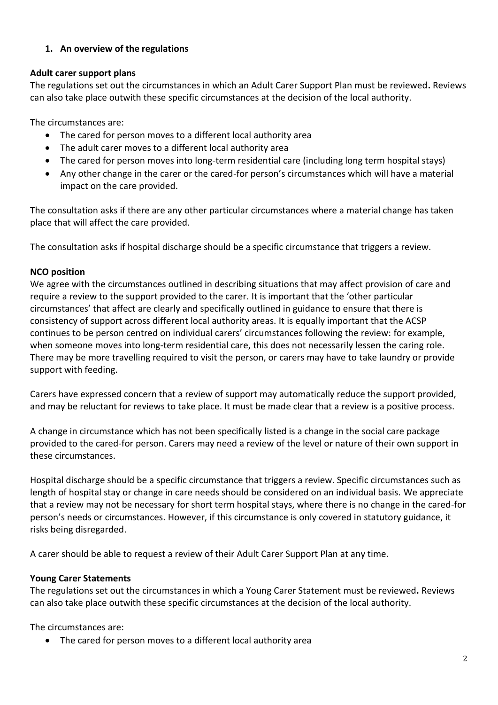## **1. An overview of the regulations**

#### **Adult carer support plans**

The regulations set out the circumstances in which an Adult Carer Support Plan must be reviewed**.** Reviews can also take place outwith these specific circumstances at the decision of the local authority.

The circumstances are:

- The cared for person moves to a different local authority area
- The adult carer moves to a different local authority area
- The cared for person moves into long-term residential care (including long term hospital stays)
- Any other change in the carer or the cared-for person's circumstances which will have a material impact on the care provided.

The consultation asks if there are any other particular circumstances where a material change has taken place that will affect the care provided.

The consultation asks if hospital discharge should be a specific circumstance that triggers a review.

#### **NCO position**

We agree with the circumstances outlined in describing situations that may affect provision of care and require a review to the support provided to the carer. It is important that the 'other particular circumstances' that affect are clearly and specifically outlined in guidance to ensure that there is consistency of support across different local authority areas. It is equally important that the ACSP continues to be person centred on individual carers' circumstances following the review: for example, when someone moves into long-term residential care, this does not necessarily lessen the caring role. There may be more travelling required to visit the person, or carers may have to take laundry or provide support with feeding.

Carers have expressed concern that a review of support may automatically reduce the support provided, and may be reluctant for reviews to take place. It must be made clear that a review is a positive process.

A change in circumstance which has not been specifically listed is a change in the social care package provided to the cared-for person. Carers may need a review of the level or nature of their own support in these circumstances.

Hospital discharge should be a specific circumstance that triggers a review. Specific circumstances such as length of hospital stay or change in care needs should be considered on an individual basis. We appreciate that a review may not be necessary for short term hospital stays, where there is no change in the cared-for person's needs or circumstances. However, if this circumstance is only covered in statutory guidance, it risks being disregarded.

A carer should be able to request a review of their Adult Carer Support Plan at any time.

#### **Young Carer Statements**

The regulations set out the circumstances in which a Young Carer Statement must be reviewed**.** Reviews can also take place outwith these specific circumstances at the decision of the local authority.

The circumstances are:

• The cared for person moves to a different local authority area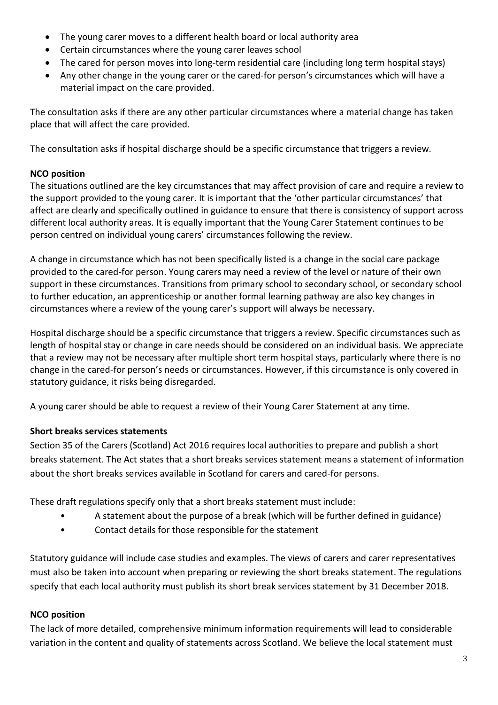- The young carer moves to a different health board or local authority area
- Certain circumstances where the young carer leaves school
- The cared for person moves into long-term residential care (including long term hospital stays)
- Any other change in the young carer or the cared-for person's circumstances which will have a material impact on the care provided.

The consultation asks if there are any other particular circumstances where a material change has taken place that will affect the care provided.

The consultation asks if hospital discharge should be a specific circumstance that triggers a review.

## **NCO position**

The situations outlined are the key circumstances that may affect provision of care and require a review to the support provided to the young carer. It is important that the 'other particular circumstances' that affect are clearly and specifically outlined in guidance to ensure that there is consistency of support across different local authority areas. It is equally important that the Young Carer Statement continues to be person centred on individual young carers' circumstances following the review.

A change in circumstance which has not been specifically listed is a change in the social care package provided to the cared-for person. Young carers may need a review of the level or nature of their own support in these circumstances. Transitions from primary school to secondary school, or secondary school to further education, an apprenticeship or another formal learning pathway are also key changes in circumstances where a review of the young carer's support will always be necessary.

Hospital discharge should be a specific circumstance that triggers a review. Specific circumstances such as length of hospital stay or change in care needs should be considered on an individual basis. We appreciate that a review may not be necessary after multiple short term hospital stays, particularly where there is no change in the cared-for person's needs or circumstances. However, if this circumstance is only covered in statutory guidance, it risks being disregarded.

A young carer should be able to request a review of their Young Carer Statement at any time.

## **Short breaks services statements**

Section 35 of the Carers (Scotland) Act 2016 requires local authorities to prepare and publish a short breaks statement. The Act states that a short breaks services statement means a statement of information about the short breaks services available in Scotland for carers and cared-for persons.

These draft regulations specify only that a short breaks statement must include:

- A statement about the purpose of a break (which will be further defined in guidance)
- Contact details for those responsible for the statement

Statutory guidance will include case studies and examples. The views of carers and carer representatives must also be taken into account when preparing or reviewing the short breaks statement. The regulations specify that each local authority must publish its short break services statement by 31 December 2018.

## **NCO position**

The lack of more detailed, comprehensive minimum information requirements will lead to considerable variation in the content and quality of statements across Scotland. We believe the local statement must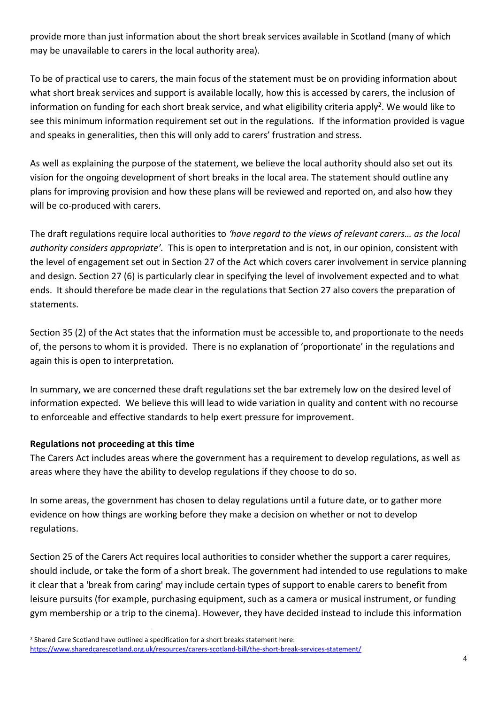provide more than just information about the short break services available in Scotland (many of which may be unavailable to carers in the local authority area).

To be of practical use to carers, the main focus of the statement must be on providing information about what short break services and support is available locally, how this is accessed by carers, the inclusion of information on funding for each short break service, and what eligibility criteria apply<sup>2</sup>. We would like to see this minimum information requirement set out in the regulations. If the information provided is vague and speaks in generalities, then this will only add to carers' frustration and stress.

As well as explaining the purpose of the statement, we believe the local authority should also set out its vision for the ongoing development of short breaks in the local area. The statement should outline any plans for improving provision and how these plans will be reviewed and reported on, and also how they will be co-produced with carers.

The draft regulations require local authorities to *'have regard to the views of relevant carers… as the local authority considers appropriate'.* This is open to interpretation and is not, in our opinion, consistent with the level of engagement set out in Section 27 of the Act which covers carer involvement in service planning and design. Section 27 (6) is particularly clear in specifying the level of involvement expected and to what ends. It should therefore be made clear in the regulations that Section 27 also covers the preparation of statements.

Section 35 (2) of the Act states that the information must be accessible to, and proportionate to the needs of, the persons to whom it is provided. There is no explanation of 'proportionate' in the regulations and again this is open to interpretation.

In summary, we are concerned these draft regulations set the bar extremely low on the desired level of information expected. We believe this will lead to wide variation in quality and content with no recourse to enforceable and effective standards to help exert pressure for improvement.

#### **Regulations not proceeding at this time**

<u>.</u>

The Carers Act includes areas where the government has a requirement to develop regulations, as well as areas where they have the ability to develop regulations if they choose to do so.

In some areas, the government has chosen to delay regulations until a future date, or to gather more evidence on how things are working before they make a decision on whether or not to develop regulations.

Section 25 of the Carers Act requires local authorities to consider whether the support a carer requires, should include, or take the form of a short break. The government had intended to use regulations to make it clear that a 'break from caring' may include certain types of support to enable carers to benefit from leisure pursuits (for example, purchasing equipment, such as a camera or musical instrument, or funding gym membership or a trip to the cinema). However, they have decided instead to include this information

<sup>&</sup>lt;sup>2</sup> Shared Care Scotland have outlined a specification for a short breaks statement here: <https://www.sharedcarescotland.org.uk/resources/carers-scotland-bill/the-short-break-services-statement/>